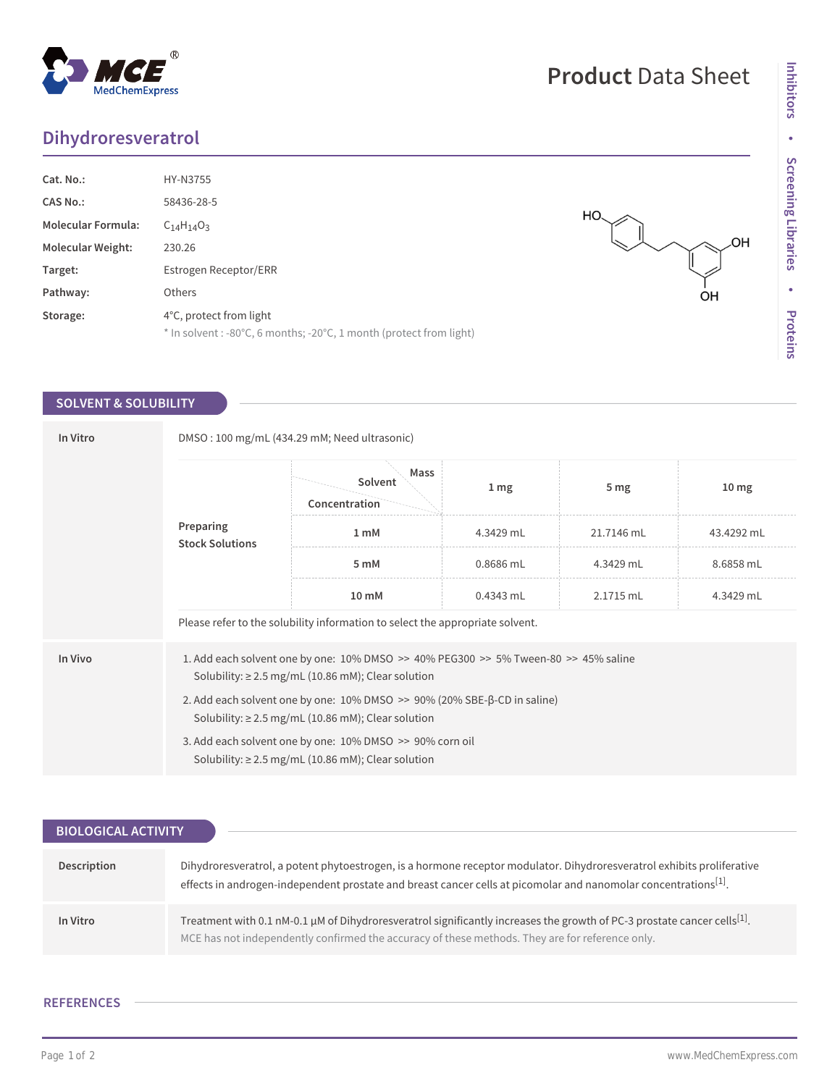## **Dihydroresveratrol**

| Cat. No.:                 | HY-N3755                                                                                       |
|---------------------------|------------------------------------------------------------------------------------------------|
| <b>CAS No.:</b>           | 58436-28-5                                                                                     |
| <b>Molecular Formula:</b> | $C_{14}H_{14}O_3$                                                                              |
| <b>Molecular Weight:</b>  | 230.26                                                                                         |
| Target:                   | Estrogen Receptor/ERR                                                                          |
| Pathway:                  | Others                                                                                         |
| Storage:                  | 4°C, protect from light<br>* In solvent : -80°C, 6 months; -20°C, 1 month (protect from light) |

## **SOLVENT & SOLUBILITY**

| In Vitro                            | DMSO: 100 mg/mL (434.29 mM; Need ultrasonic)                                                                                                                  |                                                                                                                     |                 |                 |                  |  |  |
|-------------------------------------|---------------------------------------------------------------------------------------------------------------------------------------------------------------|---------------------------------------------------------------------------------------------------------------------|-----------------|-----------------|------------------|--|--|
| Preparing<br><b>Stock Solutions</b> |                                                                                                                                                               | Mass<br>Solvent<br>Concentration                                                                                    | 1 <sub>mg</sub> | 5 <sub>mg</sub> | 10 <sub>mg</sub> |  |  |
|                                     |                                                                                                                                                               | 1 <sub>m</sub> M                                                                                                    | 4.3429 mL       | 21.7146 mL      | 43.4292 mL       |  |  |
|                                     |                                                                                                                                                               | 5 mM                                                                                                                | 0.8686 mL       | 4.3429 mL       | 8.6858 mL        |  |  |
|                                     |                                                                                                                                                               | 10 mM                                                                                                               | $0.4343$ mL     | 2.1715 mL       | 4.3429 mL        |  |  |
|                                     | Please refer to the solubility information to select the appropriate solvent.                                                                                 |                                                                                                                     |                 |                 |                  |  |  |
| In Vivo                             | 1. Add each solvent one by one: $10\%$ DMSO $\geq$ 40% PEG300 $\geq$ 5% Tween-80 $\geq$ 45% saline<br>Solubility: $\geq$ 2.5 mg/mL (10.86 mM); Clear solution |                                                                                                                     |                 |                 |                  |  |  |
|                                     | 2. Add each solvent one by one: $10\%$ DMSO $\gg$ 90% (20% SBE- $\beta$ -CD in saline)<br>Solubility: $\geq$ 2.5 mg/mL (10.86 mM); Clear solution             |                                                                                                                     |                 |                 |                  |  |  |
|                                     |                                                                                                                                                               | 3. Add each solvent one by one: 10% DMSO >> 90% corn oil<br>Solubility: $\geq$ 2.5 mg/mL (10.86 mM); Clear solution |                 |                 |                  |  |  |

| <b>BIOLOGICAL ACTIVITY</b> |                                                                                                                                                                                                                                                       |  |  |  |
|----------------------------|-------------------------------------------------------------------------------------------------------------------------------------------------------------------------------------------------------------------------------------------------------|--|--|--|
|                            |                                                                                                                                                                                                                                                       |  |  |  |
| Description                | Dihydroresveratrol, a potent phytoestrogen, is a hormone receptor modulator. Dihydroresveratrol exhibits proliferative<br>effects in androgen-independent prostate and breast cancer cells at picomolar and nanomolar concentrations <sup>[1]</sup> . |  |  |  |
| In Vitro                   | Treatment with 0.1 nM-0.1 $\mu$ M of Dihydroresveratrol significantly increases the growth of PC-3 prostate cancer cells <sup>[1]</sup> .<br>MCE has not independently confirmed the accuracy of these methods. They are for reference only.          |  |  |  |

## **REFERENCES**

HO.

**OH** 

ÒН